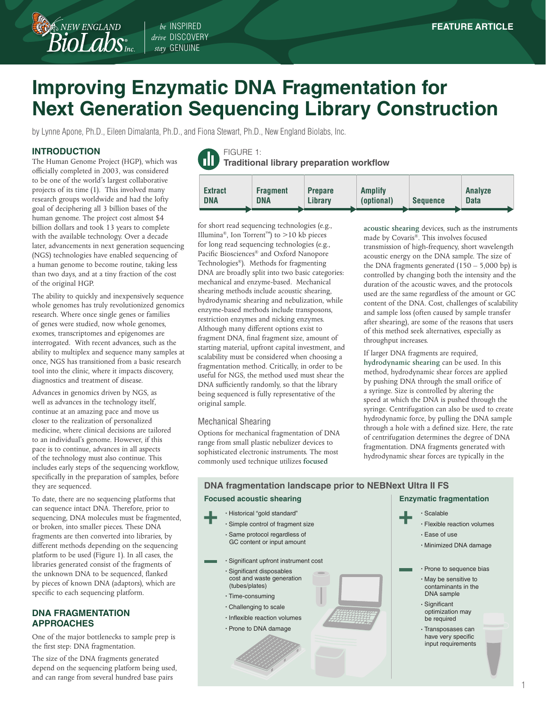# **Improving Enzymatic DNA Fragmentation for Next Generation Sequencing Library Construction**

by Lynne Apone, Ph.D., Eileen Dimalanta, Ph.D., and Fiona Stewart, Ph.D., New England Biolabs, Inc.

*drive* DISCOVERY *stay* GENUINE

## **INTRODUCTION**

 $\mathcal{\widehat{B}}$  NEW ENGLAND

The Human Genome Project (HGP), which was officially completed in 2003, was considered to be one of the world's largest collaborative projects of its time (1). This involved many research groups worldwide and had the lofty goal of deciphering all 3 billion bases of the human genome. The project cost almost \$4 billion dollars and took 13 years to complete with the available technology. Over a decade later, advancements in next generation sequencing (NGS) technologies have enabled sequencing of a human genome to become routine, taking less than two days, and at a tiny fraction of the cost of the original HGP.

The ability to quickly and inexpensively sequence whole genomes has truly revolutionized genomics research. Where once single genes or families of genes were studied, now whole genomes, exomes, transcriptomes and epigenomes are interrogated. With recent advances, such as the ability to multiplex and sequence many samples at once, NGS has transitioned from a basic research tool into the clinic, where it impacts discovery, diagnostics and treatment of disease.

Advances in genomics driven by NGS, as well as advances in the technology itself, continue at an amazing pace and move us closer to the realization of personalized medicine, where clinical decisions are tailored to an individual's genome. However, if this pace is to continue, advances in all aspects of the technology must also continue. This includes early steps of the sequencing workflow, specifically in the preparation of samples, before they are sequenced.

To date, there are no sequencing platforms that can sequence intact DNA. Therefore, prior to sequencing, DNA molecules must be fragmented, or broken, into smaller pieces. These DNA fragments are then converted into libraries, by different methods depending on the sequencing platform to be used (Figure 1). In all cases, the libraries generated consist of the fragments of the unknown DNA to be sequenced, flanked by pieces of known DNA (adaptors), which are specific to each sequencing platform.

## **DNA FRAGMENTATION APPROACHES**

One of the major bottlenecks to sample prep is the first step: DNA fragmentation.

The size of the DNA fragments generated depend on the sequencing platform being used, and can range from several hundred base pairs

FIGURE 1: **Traditional library preparation workflow**



for short read sequencing technologies (e.g., Illumina®, Ion Torrent™) to >10 kb pieces for long read sequencing technologies (e.g., Pacific Biosciences® and Oxford Nanopore Technologies®). Methods for fragmenting DNA are broadly split into two basic categories: mechanical and enzyme-based. Mechanical shearing methods include acoustic shearing, hydrodynamic shearing and nebulization, while enzyme-based methods include transposons, restriction enzymes and nicking enzymes. Although many different options exist to fragment DNA, final fragment size, amount of starting material, upfront capital investment, and scalability must be considered when choosing a fragmentation method. Critically, in order to be useful for NGS, the method used must shear the DNA sufficiently randomly, so that the library being sequenced is fully representative of the original sample.

### Mechanical Shearing

Options for mechanical fragmentation of DNA range from small plastic nebulizer devices to sophisticated electronic instruments. The most commonly used technique utilizes **focused** 

**acoustic shearing** devices, such as the instruments made by Covaris®. This involves focused transmission of high-frequency, short wavelength acoustic energy on the DNA sample. The size of the DNA fragments generated  $(150 - 5,000$  bp) is controlled by changing both the intensity and the duration of the acoustic waves, and the protocols used are the same regardless of the amount or GC content of the DNA. Cost, challenges of scalability and sample loss (often caused by sample transfer after shearing), are some of the reasons that users of this method seek alternatives, especially as throughput increases.

If larger DNA fragments are required, **hydrodynamic shearing** can be used. In this method, hydrodynamic shear forces are applied by pushing DNA through the small orifice of a syringe. Size is controlled by altering the speed at which the DNA is pushed through the syringe. Centrifugation can also be used to create hydrodynamic force, by pulling the DNA sample through a hole with a defined size. Here, the rate of centrifugation determines the degree of DNA fragmentation. DNA fragments generated with hydrodynamic shear forces are typically in the

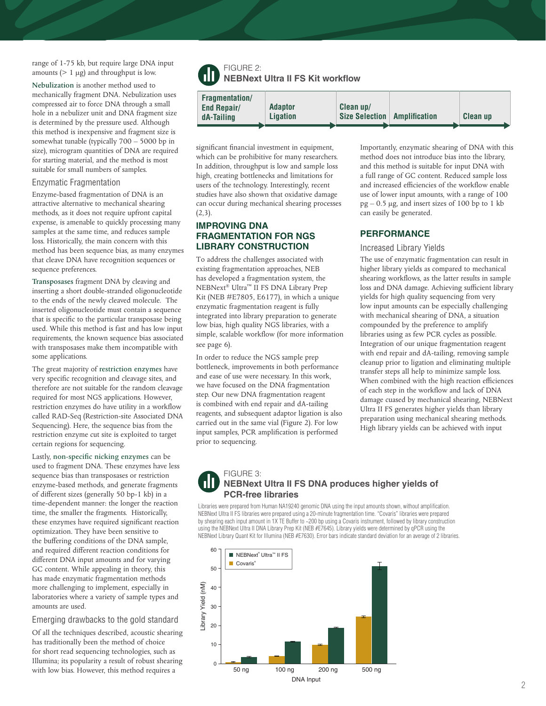range of 1-75 kb, but require large DNA input amounts  $(> 1 \mu g)$  and throughput is low.

**Nebulization** is another method used to mechanically fragment DNA. Nebulization uses compressed air to force DNA through a small hole in a nebulizer unit and DNA fragment size is determined by the pressure used. Although this method is inexpensive and fragment size is somewhat tunable (typically 700 – 5000 bp in size), microgram quantities of DNA are required for starting material, and the method is most suitable for small numbers of samples.

#### Enzymatic Fragmentation

Enzyme-based fragmentation of DNA is an attractive alternative to mechanical shearing methods, as it does not require upfront capital expense, is amenable to quickly processing many samples at the same time, and reduces sample loss. Historically, the main concern with this method has been sequence bias, as many enzymes that cleave DNA have recognition sequences or sequence preferences.

**Transposases** fragment DNA by cleaving and inserting a short double-stranded oligonucleotide to the ends of the newly cleaved molecule. The inserted oligonucleotide must contain a sequence that is specific to the particular transposase being used. While this method is fast and has low input requirements, the known sequence bias associated with transposases make them incompatible with some applications.

The great majority of **restriction enzymes** have very specific recognition and cleavage sites, and therefore are not suitable for the random cleavage required for most NGS applications. However, restriction enzymes do have utility in a workflow called RAD-Seq (Restriction-site Associated DNA Sequencing). Here, the sequence bias from the restriction enzyme cut site is exploited to target certain regions for sequencing.

Lastly, **non-specific nicking enzymes** can be used to fragment DNA. These enzymes have less sequence bias than transposases or restriction enzyme-based methods, and generate fragments of different sizes (generally 50 bp-1 kb) in a time-dependent manner: the longer the reaction time, the smaller the fragments. Historically, these enzymes have required significant reaction optimization. They have been sensitive to the buffering conditions of the DNA sample, and required different reaction conditions for different DNA input amounts and for varying GC content. While appealing in theory, this has made enzymatic fragmentation methods more challenging to implement, especially in laboratories where a variety of sample types and amounts are used.

### Emerging drawbacks to the gold standard

Of all the techniques described, acoustic shearing has traditionally been the method of choice for short read sequencing technologies, such as Illumina; its popularity a result of robust shearing with low bias. However, this method requires a

## FIGURE 2: **NEBNext Ultra II FS Kit workflow**

| <b>Fragmentation/</b><br><b>End Repair/</b><br>dA-Tailing | <b>Adaptor</b><br><b>Ligation</b> | Clean up/<br><b>Size Selection</b> | <b>Amplification</b> | <b>Clean up</b> |
|-----------------------------------------------------------|-----------------------------------|------------------------------------|----------------------|-----------------|
|-----------------------------------------------------------|-----------------------------------|------------------------------------|----------------------|-----------------|

significant financial investment in equipment, which can be prohibitive for many researchers. In addition, throughput is low and sample loss high, creating bottlenecks and limitations for users of the technology. Interestingly, recent studies have also shown that oxidative damage can occur during mechanical shearing processes  $(2,3)$ .

## **IMPROVING DNA FRAGMENTATION FOR NGS LIBRARY CONSTRUCTION**

To address the challenges associated with existing fragmentation approaches, NEB has developed a fragmentation system, the NEBNext® Ultra™ II FS DNA Library Prep Kit (NEB #E7805, E6177), in which a unique enzymatic fragmentation reagent is fully integrated into library preparation to generate low bias, high quality NGS libraries, with a simple, scalable workflow (for more information see page 6).

In order to reduce the NGS sample prep bottleneck, improvements in both performance and ease of use were necessary. In this work, we have focused on the DNA fragmentation step. Our new DNA fragmentation reagent is combined with end repair and dA-tailing reagents, and subsequent adaptor ligation is also carried out in the same vial (Figure 2). For low input samples, PCR amplification is performed prior to sequencing.

Importantly, enzymatic shearing of DNA with this method does not introduce bias into the library, and this method is suitable for input DNA with a full range of GC content. Reduced sample loss and increased efficiencies of the workflow enable use of lower input amounts, with a range of 100  $pg - 0.5 \mu g$ , and insert sizes of 100 bp to 1 kb can easily be generated.

## **PERFORMANCE**

#### Increased Library Yields

The use of enzymatic fragmentation can result in higher library yields as compared to mechanical shearing workflows, as the latter results in sample loss and DNA damage. Achieving sufficient library yields for high quality sequencing from very low input amounts can be especially challenging with mechanical shearing of DNA, a situation compounded by the preference to amplify libraries using as few PCR cycles as possible. Integration of our unique fragmentation reagent with end repair and dA-tailing, removing sample cleanup prior to ligation and eliminating multiple transfer steps all help to minimize sample loss. When combined with the high reaction efficiences of each step in the workflow and lack of DNA damage cuased by mechanical shearing, NEBNext Ultra II FS generates higher yields than library preparation using mechanical shearing methods. High library yields can be achieved with input

## FIGURE 3: **NEBNext Ultra II FS DNA produces higher yields of PCR-free libraries**

Libraries were prepared from Human NA19240 genomic DNA using the input amounts shown, without amplification. NEBNext Ultra II FS libraries were prepared using a 20-minute fragmentation time. "Covaris" libraries were prepared by shearing each input amount in 1X TE Buffer to ~200 bp using a Covaris instrument, followed by library construction using the NEBNext Ultra II DNA Library Prep Kit (NEB #E7645). Library yields were determined by qPCR using the NEBNext Library Quant Kit for Illumina (NEB #E7630). Error bars indicate standard deviation for an average of 2 libraries.

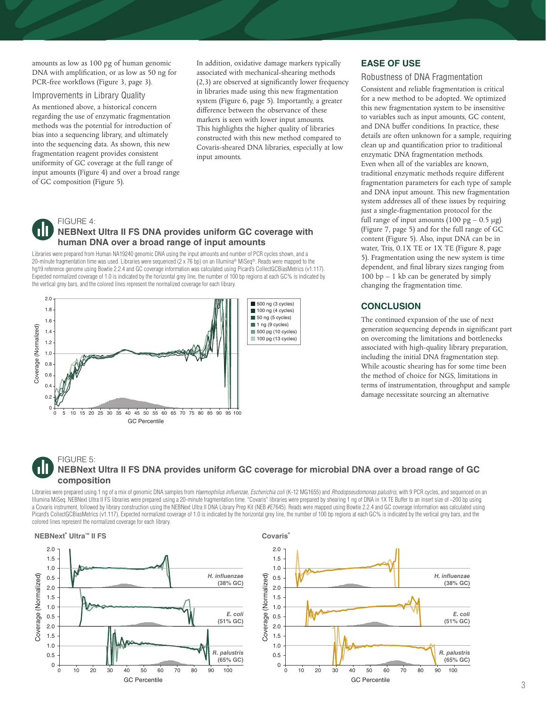amounts as low as 100 pg of human genomic DNA with amplification, or as low as 50 ng for PCR-free workflows (Figure 3, page 3).

### Improvements in Library Quality

As mentioned above, a historical concern regarding the use of enzymatic fragmentation methods was the potential for introduction of bias into a sequencing library, and ultimately into the sequencing data. As shown, this new fragmentation reagent provides consistent uniformity of GC coverage at the full range of input amounts (Figure 4) and over a broad range of GC composition (Figure 5).

In addition, oxidative damage markers typically associated with mechanical-shearing methods (2,3) are observed at significantly lower frequency in libraries made using this new fragmentation system (Figure 6, page 5). Importantly, a greater difference between the observance of these markers is seen with lower input amounts. This highlights the higher quality of libraries constructed with this new method compared to Covaris-sheared DNA libraries, especially at low input amounts.

# FIGURE 4:

## **NEBNext Ultra II FS DNA provides uniform GC coverage with human DNA over a broad range of input amounts**

Libraries were prepared from Human NA19240 genomic DNA using the input amounts and number of PCR cycles shown, and a 20-minute fragmentation time was used. Libraries were sequenced (2 x 76 bp) on an Illumina® MiSeq®. Reads were mapped to the hg19 reference genome using Bowtie 2.2.4 and GC coverage information was calculated using Picard's CollectGCBiasMetrics (v1.117). Expected normalized coverage of 1.0 is indicated by the horizontal grey line, the number of 100 bp regions at each GC% is indicated by the vertical grey bars, and the colored lines represent the normalized coverage for each library.



## **EASE OF USE**

#### Robustness of DNA Fragmentation

Consistent and reliable fragmentation is critical for a new method to be adopted. We optimized this new fragmentation system to be insensitive to variables such as input amounts, GC content, and DNA buffer conditions. In practice, these details are often unknown for a sample, requiring clean up and quantification prior to traditional enzymatic DNA fragmentation methods. Even when all of the variables are known, traditional enzymatic methods require different fragmentation parameters for each type of sample and DNA input amount. This new fragmentation system addresses all of these issues by requiring just a single-fragmentation protocol for the full range of input amounts  $(100 \text{ pg} - 0.5 \text{ µg})$ (Figure 7, page 5) and for the full range of GC content (Figure 5). Also, input DNA can be in water, Tris, 0.1X TE or 1X TE (Figure 8, page 5). Fragmentation using the new system is time dependent, and final library sizes ranging from 100 bp – 1 kb can be generated by simply changing the fragmentation time.

## **CONCLUSION**

The continued expansion of the use of next generation sequencing depends in significant part on overcoming the limitations and bottlenecks associated with high-quality library preparation, including the initial DNA fragmentation step. While acoustic shearing has for some time been the method of choice for NGS, limitations in terms of instrumentation, throughput and sample damage necessitate sourcing an alternative

## FIGURE 5: **NEBNext Ultra II FS DNA provides uniform GC coverage for microbial DNA over a broad range of GC composition**

Libraries were prepared using 1 ng of a mix of genomic DNA samples from *Haemophilus influenzae, Escherichia coli* (K-12 MG1655) and *Rhodopseudomonas palustris*, with 9 PCR cycles, and sequenced on an Illumina MiSeq. NEBNext Ultra II FS libraries were prepared using a 20-minute fragmentation time. "Covaris" libraries were prepared by shearing 1 ng of DNA in 1X TE Buffer to an insert size of ~200 bp using a Covaris instrument, followed by library construction using the NEBNext Ultra II DNA Library Prep Kit (NEB #E7645). Reads were mapped using Bowtie 2.2.4 and GC coverage information was calculated using Picard's CollectGCBiasMetrics (v1.117). Expected normalized coverage of 1.0 is indicated by the horizontal grey line, the number of 100 bp regions at each GC% is indicated by the vertical grey bars, and the colored lines represent the normalized coverage for each library.

## **NEBNext® Ultra™ II FS**